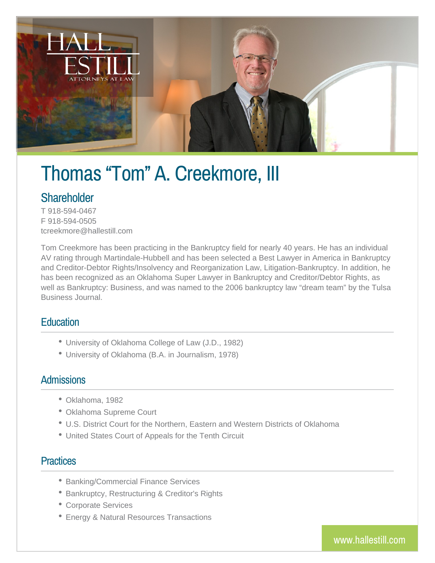

# Thomas "Tom" A. Creekmore, III

# **Shareholder**

T 918-594-0467 F 918-594-0505 tcreekmore@hallestill.com

Tom Creekmore has been practicing in the Bankruptcy field for nearly 40 years. He has an individual AV rating through Martindale-Hubbell and has been selected a Best Lawyer in America in Bankruptcy and Creditor-Debtor Rights/Insolvency and Reorganization Law, Litigation-Bankruptcy. In addition, he has been recognized as an Oklahoma Super Lawyer in Bankruptcy and Creditor/Debtor Rights, as well as Bankruptcy: Business, and was named to the 2006 bankruptcy law "dream team" by the Tulsa Business Journal.

#### **Education**

- University of Oklahoma College of Law (J.D., 1982)
- University of Oklahoma (B.A. in Journalism, 1978)

#### **Admissions**

- Oklahoma, 1982
- Oklahoma Supreme Court
- U.S. District Court for the Northern, Eastern and Western Districts of Oklahoma
- United States Court of Appeals for the Tenth Circuit

#### **Practices**

- Banking/Commercial Finance Services
- Bankruptcy, Restructuring & Creditor's Rights
- Corporate Services
- Energy & Natural Resources Transactions